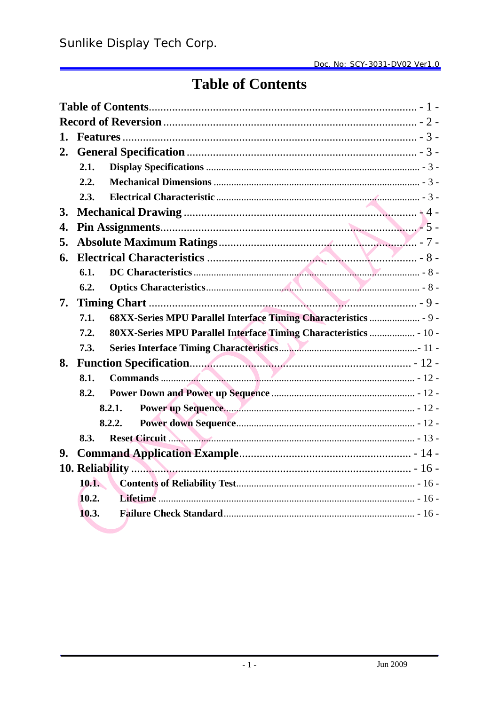# **Table of Contents**

| 1. |       |                                                                   |
|----|-------|-------------------------------------------------------------------|
| 2. |       |                                                                   |
|    | 2.1.  |                                                                   |
|    | 2.2.  |                                                                   |
|    | 2.3.  |                                                                   |
| 3. |       |                                                                   |
| 4. |       |                                                                   |
| 5. |       |                                                                   |
| 6. |       |                                                                   |
|    | 6.1.  |                                                                   |
|    | 6.2.  |                                                                   |
| 7. |       |                                                                   |
|    | 7.1.  | 68XX-Series MPU Parallel Interface Timing Characteristics  - 9 -  |
|    | 7.2.  | 80XX-Series MPU Parallel Interface Timing Characteristics  - 10 - |
|    | 7.3.  |                                                                   |
| 8. |       |                                                                   |
|    | 8.1.  |                                                                   |
|    | 8.2.  |                                                                   |
|    |       | 8.2.1.                                                            |
|    |       | 8.2.2.                                                            |
|    | 8.3.  |                                                                   |
| 9. |       |                                                                   |
|    |       |                                                                   |
|    | 10.1. |                                                                   |
|    | 10.2. |                                                                   |
|    | 10.3. |                                                                   |
|    |       |                                                                   |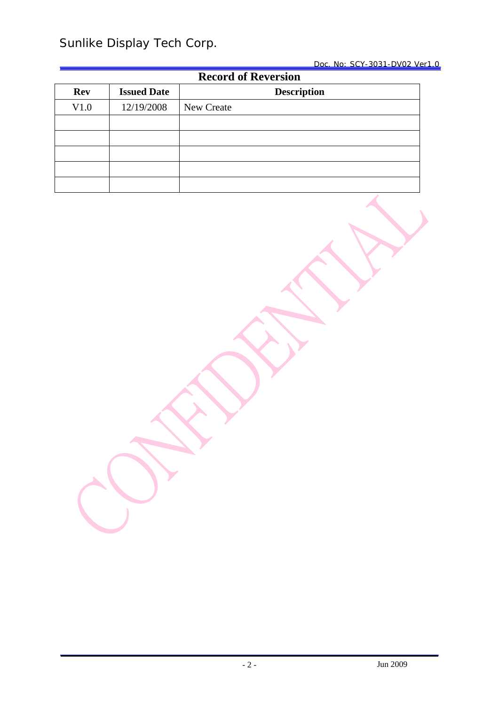| <b>Record of Reversion</b> |                    |                    |  |  |  |  |  |
|----------------------------|--------------------|--------------------|--|--|--|--|--|
| <b>Rev</b>                 | <b>Issued Date</b> | <b>Description</b> |  |  |  |  |  |
| V1.0                       | 12/19/2008         | New Create         |  |  |  |  |  |
|                            |                    |                    |  |  |  |  |  |
|                            |                    |                    |  |  |  |  |  |
|                            |                    |                    |  |  |  |  |  |
|                            |                    |                    |  |  |  |  |  |
|                            |                    |                    |  |  |  |  |  |

Jun 2009 - 2 -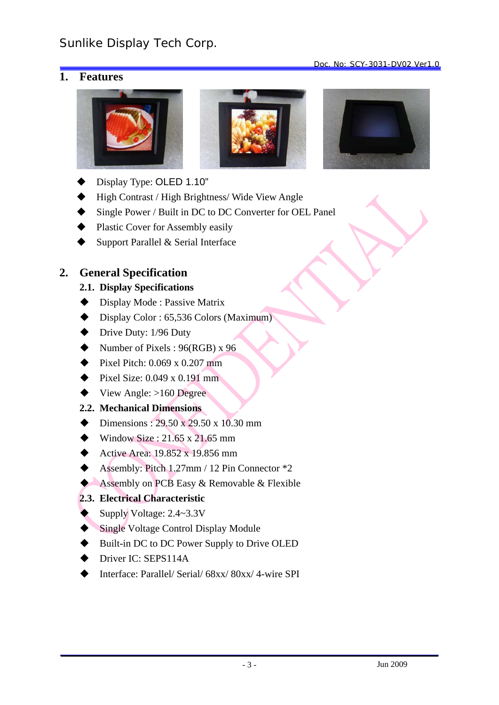## **1. Features**







Doc. No: SCY-3031-DV02 Ver1.0

- Display Type: OLED 1.10"
- High Contrast / High Brightness/ Wide View Angle
- Single Power / Built in DC to DC Converter for OEL Panel
- Plastic Cover for Assembly easily
- Support Parallel & Serial Interface

## **2. General Specification**

### **2.1. Display Specifications**

- ◆ Display Mode : Passive Matrix
- $\blacklozenge$  Display Color : 65,536 Colors (Maximum)
- $\blacklozenge$  Drive Duty: 1/96 Duty
- $\blacklozenge$  Number of Pixels : 96(RGB) x 96
- $\blacktriangleright$  Pixel Pitch: 0.069 x 0.207 mm
- $\blacktriangleright$  Pixel Size: 0.049 x 0.191 mm
- $\blacklozenge$  View Angle: >160 Degree

## **2.2. Mechanical Dimensions**

- Dimensions :  $29.50 \times 29.50 \times 10.30 \text{ mm}$
- $\blacklozenge$  Window Size : 21.65 x 21.65 mm
- Active Area:  $19.852 \times 19.856 \text{ mm}$
- Assembly: Pitch 1.27mm / 12 Pin Connector  $*2$
- Assembly on PCB Easy & Removable & Flexible

## **2.3. Electrical Characteristic**

- Supply Voltage: 2.4~3.3V
- ◆ Single Voltage Control Display Module
- Built-in DC to DC Power Supply to Drive OLED
- Driver IC: SEPS114A
- Interface: Parallel/ Serial/ 68xx/ 80xx/ 4-wire SPI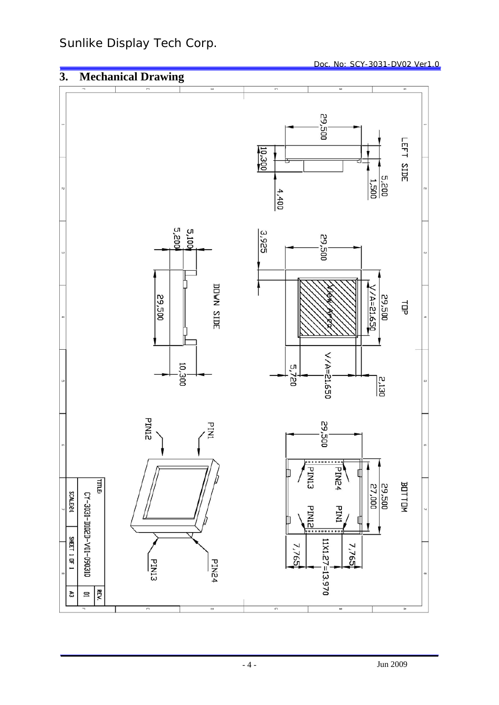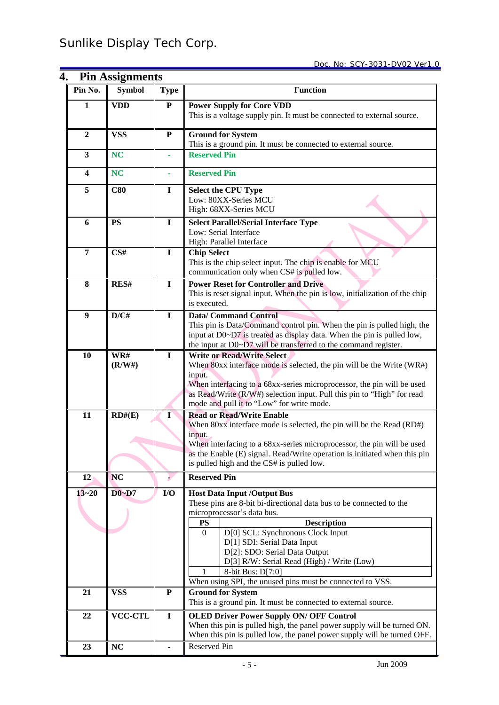| 4.                      | <b>Pin Assignments</b> |              | <u>, געזע-נעט-נעכ</u>                                                                                                                                                                                                                                                                                                                                               |  |  |  |  |
|-------------------------|------------------------|--------------|---------------------------------------------------------------------------------------------------------------------------------------------------------------------------------------------------------------------------------------------------------------------------------------------------------------------------------------------------------------------|--|--|--|--|
| Pin No.                 | <b>Symbol</b>          | <b>Type</b>  | <b>Function</b>                                                                                                                                                                                                                                                                                                                                                     |  |  |  |  |
| 1                       | <b>VDD</b>             | ${\bf P}$    | <b>Power Supply for Core VDD</b><br>This is a voltage supply pin. It must be connected to external source.                                                                                                                                                                                                                                                          |  |  |  |  |
| $\boldsymbol{2}$        | <b>VSS</b>             | ${\bf P}$    | <b>Ground for System</b><br>This is a ground pin. It must be connected to external source.                                                                                                                                                                                                                                                                          |  |  |  |  |
| 3                       | <b>NC</b>              |              | <b>Reserved Pin</b>                                                                                                                                                                                                                                                                                                                                                 |  |  |  |  |
| $\overline{\mathbf{4}}$ | <b>NC</b>              | ä,           | <b>Reserved Pin</b>                                                                                                                                                                                                                                                                                                                                                 |  |  |  |  |
| 5                       | C80                    | $\mathbf I$  | <b>Select the CPU Type</b><br>Low: 80XX-Series MCU<br>High: 68XX-Series MCU                                                                                                                                                                                                                                                                                         |  |  |  |  |
| 6                       | <b>PS</b>              | $\mathbf I$  | <b>Select Parallel/Serial Interface Type</b><br>Low: Serial Interface<br>High: Parallel Interface                                                                                                                                                                                                                                                                   |  |  |  |  |
| $\overline{7}$          | CS#                    | $\mathbf I$  | <b>Chip Select</b><br>This is the chip select input. The chip is enable for MCU<br>communication only when CS# is pulled low.                                                                                                                                                                                                                                       |  |  |  |  |
| 8                       | RES#                   | $\mathbf I$  | <b>Power Reset for Controller and Drive</b><br>This is reset signal input. When the pin is low, initialization of the chip<br>is executed.                                                                                                                                                                                                                          |  |  |  |  |
| 9                       | D/CH                   | $\mathbf I$  | <b>Data/Command Control</b><br>This pin is Data/Command control pin. When the pin is pulled high, the<br>input at D0~D7 is treated as display data. When the pin is pulled low,<br>the input at D0~D7 will be transferred to the command register.                                                                                                                  |  |  |  |  |
| 10                      | WR#<br>(R/W#)          | $\mathbf I$  | <b>Write or Read/Write Select</b><br>When 80xx interface mode is selected, the pin will be the Write (WR#)<br>input.<br>When interfacing to a 68xx-series microprocessor, the pin will be used<br>as Read/Write (R/W#) selection input. Pull this pin to "High" for read                                                                                            |  |  |  |  |
| 11                      | RD#(E)                 | $\mathbf{I}$ | mode and pull it to "Low" for write mode.<br><b>Read or Read/Write Enable</b><br>When 80xx interface mode is selected, the pin will be the Read (RD#)<br>input.<br>When interfacing to a 68xx-series microprocessor, the pin will be used<br>as the Enable (E) signal. Read/Write operation is initiated when this pin<br>is pulled high and the CS# is pulled low. |  |  |  |  |
| 12                      | <b>NC</b>              |              | <b>Reserved Pin</b>                                                                                                                                                                                                                                                                                                                                                 |  |  |  |  |
| $13 - 20$               | $D0-D7$                | I/O          | <b>Host Data Input /Output Bus</b><br>These pins are 8-bit bi-directional data bus to be connected to the<br>microprocessor's data bus.<br><b>Description</b><br><b>PS</b><br>D[0] SCL: Synchronous Clock Input<br>$\Omega$<br>D[1] SDI: Serial Data Input<br>D[2]: SDO: Serial Data Output<br>D[3] R/W: Serial Read (High) / Write (Low)<br>8-bit Bus: D[7:0]      |  |  |  |  |
| 21                      | <b>VSS</b>             | ${\bf P}$    | When using SPI, the unused pins must be connected to VSS.<br><b>Ground for System</b>                                                                                                                                                                                                                                                                               |  |  |  |  |
|                         |                        |              | This is a ground pin. It must be connected to external source.                                                                                                                                                                                                                                                                                                      |  |  |  |  |
| 22                      | <b>VCC-CTL</b>         | $\mathbf I$  | <b>OLED Driver Power Supply ON/ OFF Control</b><br>When this pin is pulled high, the panel power supply will be turned ON.<br>When this pin is pulled low, the panel power supply will be turned OFF.                                                                                                                                                               |  |  |  |  |
| 23                      | <b>NC</b>              |              | Reserved Pin                                                                                                                                                                                                                                                                                                                                                        |  |  |  |  |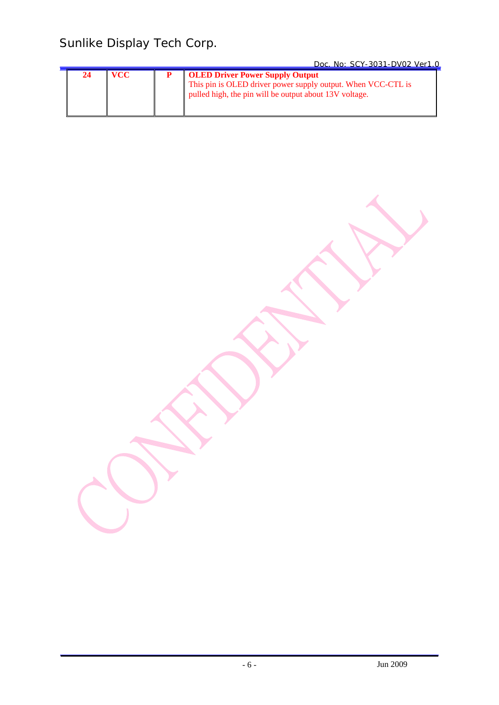|  |  | Doc. No: SCY-3031-DV02 Ver1.0                                                                                                                                    |  |
|--|--|------------------------------------------------------------------------------------------------------------------------------------------------------------------|--|
|  |  | <b>OLED Driver Power Supply Output</b><br>This pin is OLED driver power supply output. When VCC-CTL is<br>pulled high, the pin will be output about 13V voltage. |  |

Jun 2009 - 6 -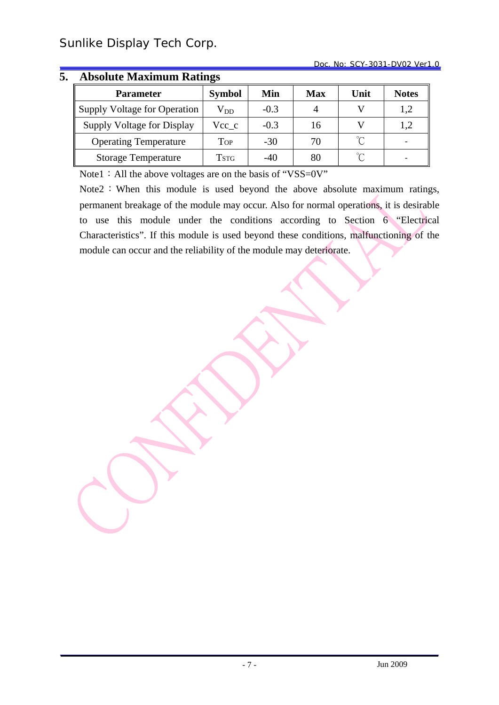| <b>Parameter</b>             | <b>Symbol</b> | Min    | <b>Max</b> | Unit   | <b>Notes</b> |  |  |  |
|------------------------------|---------------|--------|------------|--------|--------------|--|--|--|
| Supply Voltage for Operation | $\rm V_{DD}$  | $-0.3$ |            |        | 1,2          |  |  |  |
| Supply Voltage for Display   | Vcc c         | $-0.3$ | 16         |        | 1,2          |  |  |  |
| <b>Operating Temperature</b> | Top           | $-30$  | 70         | $\sim$ |              |  |  |  |
| <b>Storage Temperature</b>   | Tstg          | $-40$  | 80         |        |              |  |  |  |

## **5. Absolute Maximum Ratings**

Note1: All the above voltages are on the basis of "VSS=0V"

Note2: When this module is used beyond the above absolute maximum ratings, permanent breakage of the module may occur. Also for normal operations, it is desirable to use this module under the conditions according to Section 6 "Electrical Characteristics". If this module is used beyond these conditions, malfunctioning of the module can occur and the reliability of the module may deteriorate.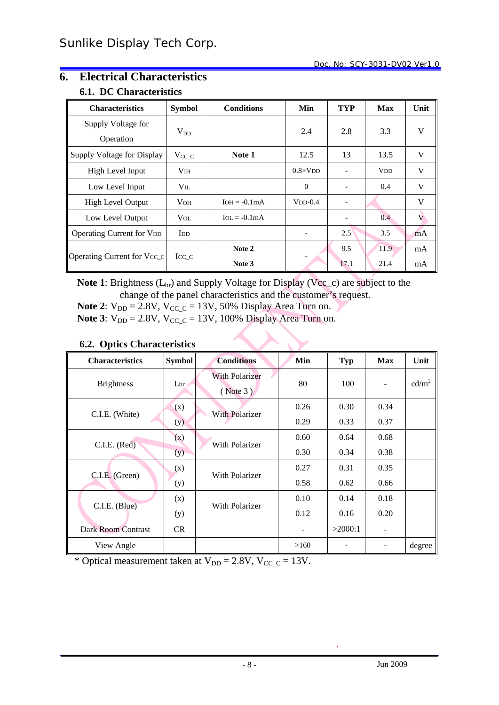## **6. Electrical Characteristics**

#### **6.1. DC Characteristics**

| <b>Characteristics</b>           | <b>Symbol</b>          | <b>Conditions</b> | Min                      | <b>TYP</b>               | <b>Max</b>            | Unit |
|----------------------------------|------------------------|-------------------|--------------------------|--------------------------|-----------------------|------|
| Supply Voltage for               | $V_{DD}$               |                   | 2.4                      | 2.8                      | 3.3                   | V    |
| Operation                        |                        |                   |                          |                          |                       |      |
| Supply Voltage for Display       | $V_{CC\_C}$            | Note 1            | 12.5                     | 13                       | 13.5                  | V    |
| High Level Input                 | V <sub>IH</sub>        |                   | $0.8 \times VDD$         | $\overline{\phantom{a}}$ | <b>V<sub>DD</sub></b> | V    |
| Low Level Input                  | $V_{IL}$               |                   | $\Omega$                 | $\overline{\phantom{a}}$ | 0.4                   | V    |
| <b>High Level Output</b>         | V <sub>OH</sub>        | $IOH = -0.1mA$    | $VDD-0.4$                | $\overline{\phantom{a}}$ |                       | V    |
| Low Level Output                 | <b>V</b> <sub>OL</sub> | $IoL = -0.1mA$    |                          |                          | 0.4                   | V    |
| <b>Operating Current for VDD</b> | <b>I</b> <sub>D</sub>  |                   | $\overline{\phantom{a}}$ | 2.5                      | 3.5                   | mA   |
| Operating Current for Vcc_c      |                        | Note 2            |                          | 9.5                      | 11.9                  | mA   |
|                                  | $\text{Icc} \subset$   | Note 3            |                          | 17.1                     | 21.4                  | mA   |

**Note 1**: Brightness  $(L_{br})$  and Supply Voltage for Display (Vcc\_c) are subject to the change of the panel characteristics and the customer's request.

**Note 2:**  $V_{DD} = 2.8V$ ,  $V_{CC\_C} = 13V$ , 50% Display Area Turn on.

**Note 3**:  $V_{DD} = 2.8V$ ,  $V_{CC} = 13V$ , 100% Display Area Turn on.

#### **6.2. Optics Characteristics**

| <b>Characteristics</b> | <b>Symbol</b> | <b>Conditions</b>                 | Min  | Typ     | <b>Max</b> | Unit              |
|------------------------|---------------|-----------------------------------|------|---------|------------|-------------------|
| <b>Brightness</b>      | Lbr           | <b>With Polarizer</b><br>(Note 3) | 80   | 100     |            | cd/m <sup>2</sup> |
| C.I.E. (White)         | (x)           |                                   | 0.26 | 0.30    | 0.34       |                   |
|                        | (y)           | <b>With Polarizer</b>             | 0.29 | 0.33    | 0.37       |                   |
| C.I.E. (Red)           | (x)           | With Polarizer                    | 0.60 | 0.64    | 0.68       |                   |
|                        | (y)           |                                   | 0.30 | 0.34    | 0.38       |                   |
| C.I.E. (Green)         | (x)           | With Polarizer                    | 0.27 | 0.31    | 0.35       |                   |
|                        | (y)           |                                   | 0.58 | 0.62    | 0.66       |                   |
|                        | (x)           |                                   | 0.10 | 0.14    | 0.18       |                   |
| C.I.E. (Blue)          | (y)           | With Polarizer                    | 0.12 | 0.16    | 0.20       |                   |
| Dark Room Contrast     | CR.           |                                   |      | >2000:1 | -          |                   |
| View Angle             |               |                                   | >160 |         |            | degree            |

\* Optical measurement taken at  $V_{DD} = 2.8V$ ,  $V_{CC\_C} = 13V$ .

.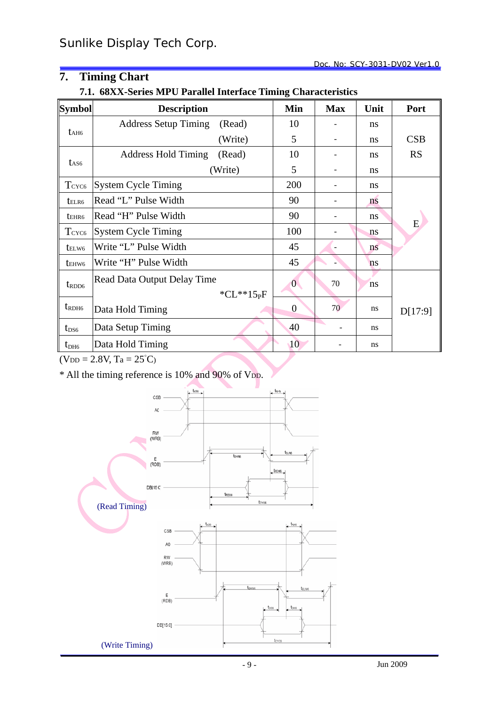## **7. Timing Chart**

**7.1. 68XX-Series MPU Parallel Interface Timing Characteristics**

| <b>Symbol</b>     | <b>Description</b>          |               | Min              | <b>Max</b> | Unit | Port      |
|-------------------|-----------------------------|---------------|------------------|------------|------|-----------|
|                   | <b>Address Setup Timing</b> | (Read)        | 10               |            | ns   |           |
| t <sub>AH6</sub>  |                             | (Write)       | 5                |            | ns   | CSB       |
|                   | <b>Address Hold Timing</b>  | (Read)        | 10               |            | ns   | <b>RS</b> |
| t <sub>AS6</sub>  |                             | (Write)       | 5                |            | ns   |           |
| T <sub>CYC6</sub> | <b>System Cycle Timing</b>  |               | 200              |            | ns   |           |
| telr <sub>6</sub> | Read "L" Pulse Width        |               | 90               |            | ns   |           |
| tehr <sub>6</sub> | Read "H" Pulse Width        |               | 90               |            | ns   | E         |
| T <sub>CYC6</sub> | <b>System Cycle Timing</b>  |               | 100              |            | ns   |           |
| telw <sub>6</sub> | Write "L" Pulse Width       |               | 45               |            | ns   |           |
| t <sub>EHW6</sub> | Write "H" Pulse Width       |               | 45               |            | ns   |           |
| $t_{\text{RDD6}}$ | Read Data Output Delay Time |               | $\overline{0}$   | 70         | ns   |           |
|                   |                             | * $CL***15pF$ |                  |            |      |           |
| $t_{\text{RDH}6}$ | Data Hold Timing            |               | $\boldsymbol{0}$ | 70         | ns   | D[17:9]   |
| $t_{DS6}$         | Data Setup Timing           |               | 40               |            | ns   |           |
| $t_{DH6}$         | Data Hold Timing            |               | 10               |            | ns   |           |

 $(VDD = 2.8V, Ta = 25°C)$ 

\* All the timing reference is 10% and 90% of VDD.

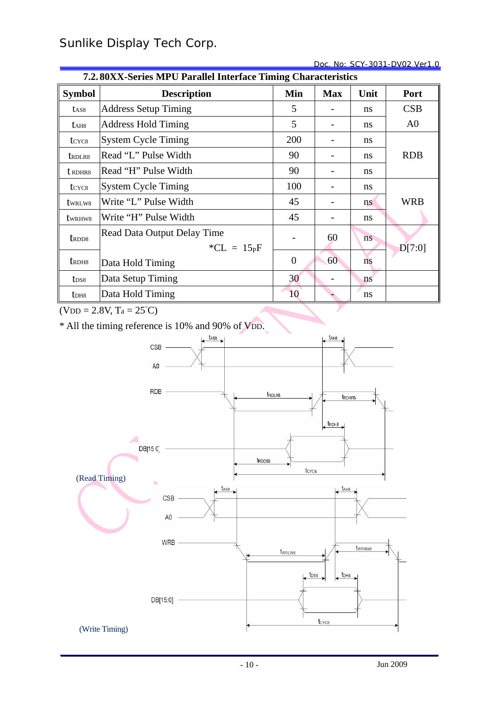Doc. No: SCY-3031-DV02 Ver1.0

|                                | 7.2.80XX-Series MPU Parallel Interface Timing Characteristics |                |            |      |                |  |  |  |
|--------------------------------|---------------------------------------------------------------|----------------|------------|------|----------------|--|--|--|
| <b>Symbol</b>                  | <b>Description</b>                                            | Min            | <b>Max</b> | Unit | Port           |  |  |  |
| t <sub>AS8</sub>               | <b>Address Setup Timing</b>                                   | 5              |            | ns   | CSB            |  |  |  |
| t <sub>AH8</sub>               | <b>Address Hold Timing</b>                                    | 5              |            | ns   | A <sub>0</sub> |  |  |  |
| t <sub>CYC8</sub>              | <b>System Cycle Timing</b>                                    | 200            |            | ns   |                |  |  |  |
| t <sub>RDLR8</sub>             | Read "L" Pulse Width                                          | 90             |            | ns   | <b>RDB</b>     |  |  |  |
| t RDHR8                        | Read "H" Pulse Width                                          | 90             |            | ns   |                |  |  |  |
| t <sub>CYC8</sub>              | <b>System Cycle Timing</b>                                    | 100            |            | ns   |                |  |  |  |
| twrlw <sub>8</sub>             | Write "L" Pulse Width                                         | 45             |            | ns   | <b>WRB</b>     |  |  |  |
| twr <sub>HW8</sub>             | Write "H" Pulse Width                                         | 45             |            | ns   |                |  |  |  |
| t <sub>RDD8</sub>              | Read Data Output Delay Time                                   |                | 60         | ns   |                |  |  |  |
|                                | * $CL = 15pF$                                                 |                |            |      | D[7:0]         |  |  |  |
| t <sub>rd</sub> H <sub>8</sub> | Data Hold Timing                                              | $\overline{0}$ | 60         | ns   |                |  |  |  |
| t <sub>DS8</sub>               | Data Setup Timing                                             | 30             |            | ns   |                |  |  |  |
| t <sub>DH8</sub>               | Data Hold Timing                                              | 10             |            | ns   |                |  |  |  |
|                                | $(N_{DD} - 2.8V T - 25°C)$                                    |                |            |      |                |  |  |  |

 $\overline{(VDD = 2.8V, Ta = 25^{\circ}C)}$ 

\* All the timing reference is 10% and 90% of VDD.

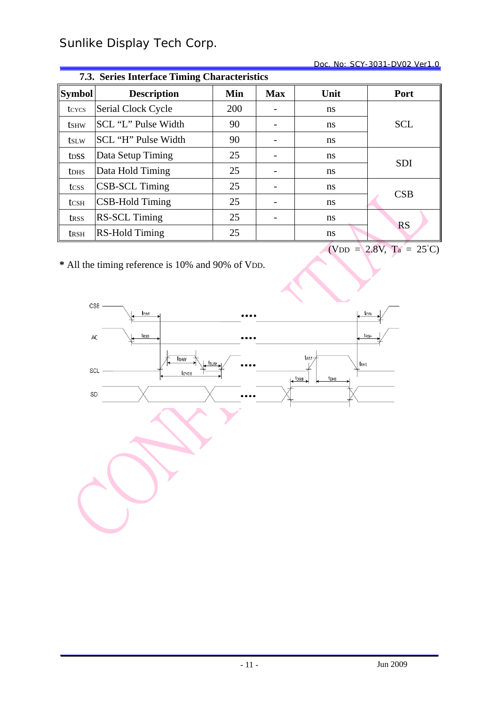#### Doc. No: SCY-3031-DV02 Ver1.0

|                          | 7.3. Series Interface Timing Characteristics |     |                          |               |            |  |  |  |  |
|--------------------------|----------------------------------------------|-----|--------------------------|---------------|------------|--|--|--|--|
| <b>Symbol</b>            | <b>Description</b>                           | Min | <b>Max</b>               | Unit          | Port       |  |  |  |  |
| tcycs                    | Serial Clock Cycle                           | 200 |                          | ns            |            |  |  |  |  |
| <b>t</b> s <sub>HW</sub> | SCL "L" Pulse Width                          | 90  | $\overline{\phantom{m}}$ | ns            | <b>SCL</b> |  |  |  |  |
| tslw                     | SCL "H" Pulse Width                          | 90  |                          | ns            |            |  |  |  |  |
| t <sub>DSS</sub>         | Data Setup Timing                            | 25  |                          | <sub>ns</sub> |            |  |  |  |  |
| <b>t</b> DHS             | Data Hold Timing                             | 25  |                          | <sub>ns</sub> | <b>SDI</b> |  |  |  |  |
| tcss                     | <b>CSB-SCL Timing</b>                        | 25  | $\overline{\phantom{a}}$ | <sub>ns</sub> |            |  |  |  |  |
| tcsh                     | <b>CSB-Hold Timing</b>                       | 25  |                          | ns            | CSB        |  |  |  |  |
| trss                     | <b>RS-SCL Timing</b>                         | 25  |                          | <sub>ns</sub> |            |  |  |  |  |
| <b>t</b> rsh             | <b>RS-Hold Timing</b>                        | 25  |                          | ns            | <b>RS</b>  |  |  |  |  |
|                          | $(VDD = 2.8V, Ta = 25^{\circ}C)$             |     |                          |               |            |  |  |  |  |

**\*** All the timing reference is 10% and 90% of VDD.

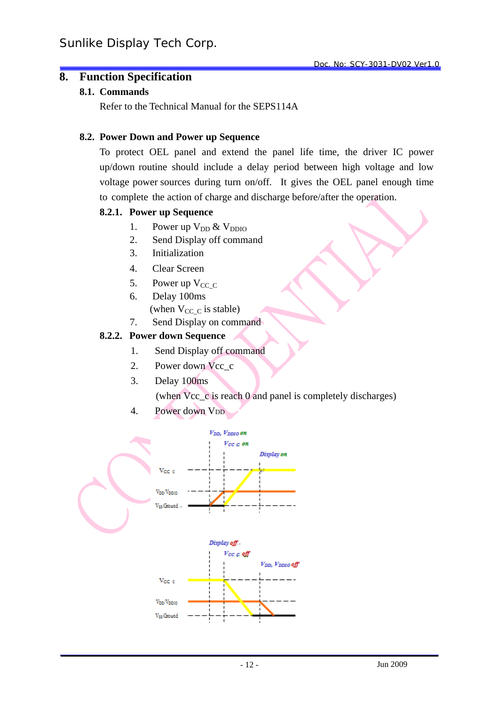## **8. Function Specification**

#### **8.1. Commands**

Refer to the Technical Manual for the SEPS114A

#### **8.2. Power Down and Power up Sequence**

To protect OEL panel and extend the panel life time, the driver IC power up/down routine should include a delay period between high voltage and low voltage power sources during turn on/off. It gives the OEL panel enough time to complete the action of charge and discharge before/after the operation.

#### **8.2.1. Power up Sequence**

- 1. Power up  $V_{DD}$  &  $V_{DDIO}$
- 2. Send Display off command
- 3. Initialization
- 4. Clear Screen
- 5. Power up  $V_{CC}$  C
- 6. Delay 100ms
	- (when  $V_{CC}$  c is stable)
- 7. Send Display on command

#### **8.2.2. Power down Sequence**

- 1. Send Display off command
- 2. Power down Vcc\_c
- 3. Delay 100ms

(when Vcc\_c is reach 0 and panel is completely discharges)

4. Power down V<sub>DD</sub>

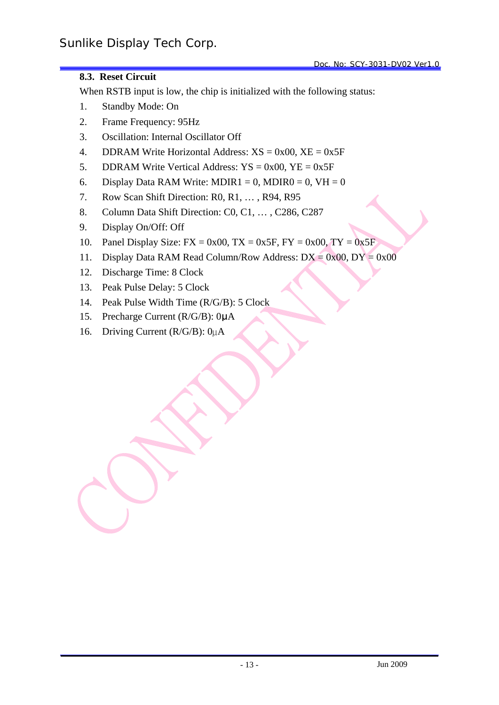#### **8.3. Reset Circuit**

When RSTB input is low, the chip is initialized with the following status:

- 1. Standby Mode: On
- 2. Frame Frequency: 95Hz
- 3. Oscillation: Internal Oscillator Off
- 4. DDRAM Write Horizontal Address:  $XS = 0x00$ ,  $XE = 0x5F$
- 5. DDRAM Write Vertical Address:  $YS = 0x00$ ,  $YE = 0x5F$
- 6. Display Data RAM Write: MDIR1 = 0, MDIR0 = 0, VH = 0
- 7. Row Scan Shift Direction: R0, R1, … , R94, R95
- 8. Column Data Shift Direction: C0, C1, … , C286, C287
- 9. Display On/Off: Off
- 10. Panel Display Size:  $FX = 0x00$ ,  $TX = 0x5F$ ,  $FY = 0x00$ ,  $TY = 0x5F$
- 11. Display Data RAM Read Column/Row Address:  $DX = 0x00$ ,  $DY = 0x00$
- 12. Discharge Time: 8 Clock
- 13. Peak Pulse Delay: 5 Clock
- 14. Peak Pulse Width Time (R/G/B): 5 Clock
- 15. Precharge Current (R/G/B): 0μA
- 16. Driving Current (R/G/B): 0µA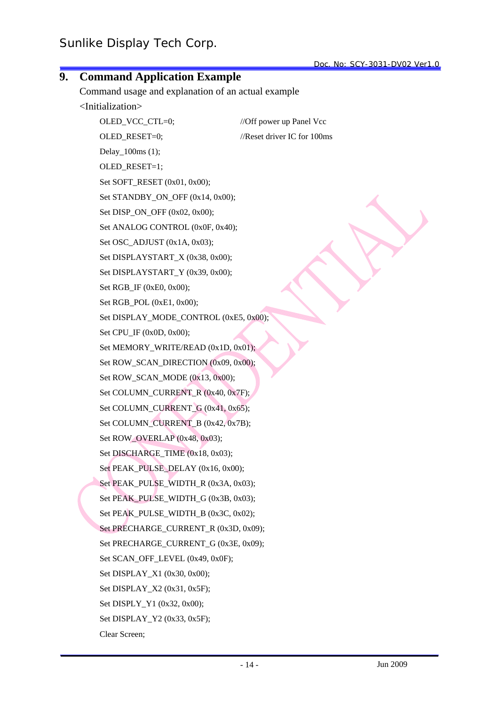|    |                                                    | Doc. No: SCY-3031-DV02 Ver1.0 |
|----|----------------------------------------------------|-------------------------------|
| 9. | <b>Command Application Example</b>                 |                               |
|    | Command usage and explanation of an actual example |                               |
|    | <initialization></initialization>                  |                               |
|    | OLED_VCC_CTL=0;                                    | //Off power up Panel Vcc      |
|    | OLED_RESET=0;                                      | //Reset driver IC for 100ms   |
|    | Delay_100ms (1);                                   |                               |
|    | OLED_RESET=1;                                      |                               |
|    | Set SOFT_RESET (0x01, 0x00);                       |                               |
|    | Set STANDBY_ON_OFF (0x14, 0x00);                   |                               |
|    | Set DISP_ON_OFF (0x02, 0x00);                      |                               |
|    | Set ANALOG CONTROL (0x0F, 0x40);                   |                               |
|    | Set OSC_ADJUST (0x1A, 0x03);                       |                               |
|    | Set DISPLAYSTART_X (0x38, 0x00);                   |                               |
|    | Set DISPLAYSTART_Y (0x39, 0x00);                   |                               |
|    | Set RGB_IF (0xE0, 0x00);                           |                               |
|    | Set RGB_POL (0xE1, 0x00);                          |                               |
|    | Set DISPLAY_MODE_CONTROL (0xE5, 0x00);             |                               |
|    | Set CPU_IF (0x0D, 0x00);                           |                               |
|    | Set MEMORY_WRITE/READ (0x1D, 0x01);                |                               |
|    | Set ROW_SCAN_DIRECTION (0x09, 0x00);               |                               |
|    | Set ROW_SCAN_MODE (0x13, 0x00);                    |                               |
|    | Set COLUMN_CURRENT_R (0x40, 0x7F);                 |                               |
|    | Set COLUMN_CURRENT_G (0x41, 0x65);                 |                               |
|    | Set COLUMN_CURRENT_B (0x42, 0x7B);                 |                               |
|    | Set ROW_OVERLAP (0x48, 0x03);                      |                               |
|    | Set DISCHARGE_TIME (0x18, 0x03);                   |                               |
|    | Set PEAK_PULSE_DELAY (0x16, 0x00);                 |                               |
|    | Set PEAK_PULSE_WIDTH_R (0x3A, 0x03);               |                               |
|    | Set PEAK_PULSE_WIDTH_G (0x3B, 0x03);               |                               |
|    | Set PEAK_PULSE_WIDTH_B (0x3C, 0x02);               |                               |
|    | Set PRECHARGE_CURRENT_R (0x3D, 0x09);              |                               |
|    | Set PRECHARGE_CURRENT_G (0x3E, 0x09);              |                               |
|    | Set SCAN_OFF_LEVEL (0x49, 0x0F);                   |                               |
|    | Set DISPLAY_X1 (0x30, 0x00);                       |                               |
|    | Set DISPLAY_X2 (0x31, 0x5F);                       |                               |
|    | Set DISPLY_Y1 (0x32, 0x00);                        |                               |
|    | Set DISPLAY_Y2 (0x33, 0x5F);                       |                               |
|    | Clear Screen;                                      |                               |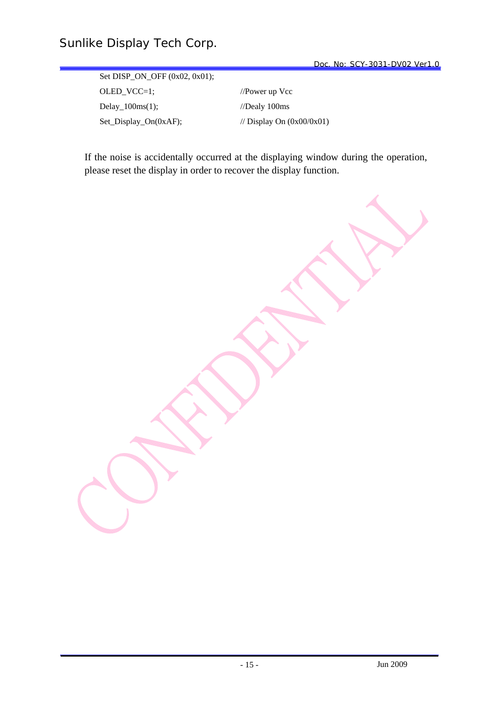Set DISP\_ON\_OFF (0x02, 0x01); OLED\_VCC=1; //Power up Vcc Delay\_100ms(1); //Dealy 100ms Set\_Display\_On(0xAF);  $\angle$  // Display On (0x00/0x01)

If the noise is accidentally occurred at the displaying window during the operation, please reset the display in order to recover the display function.